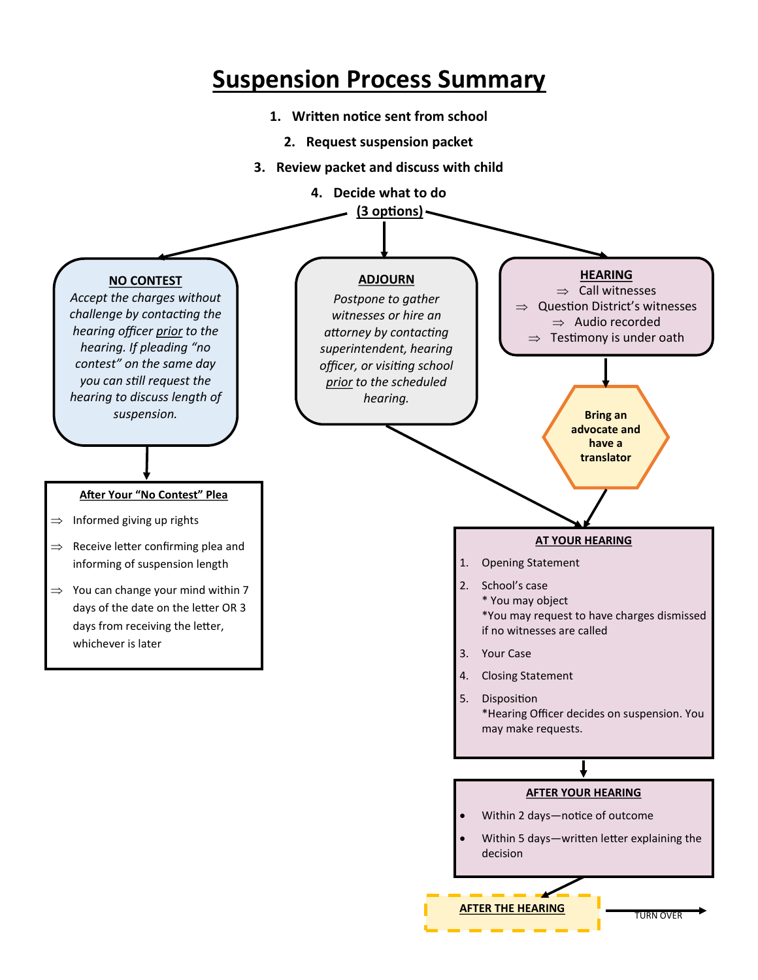